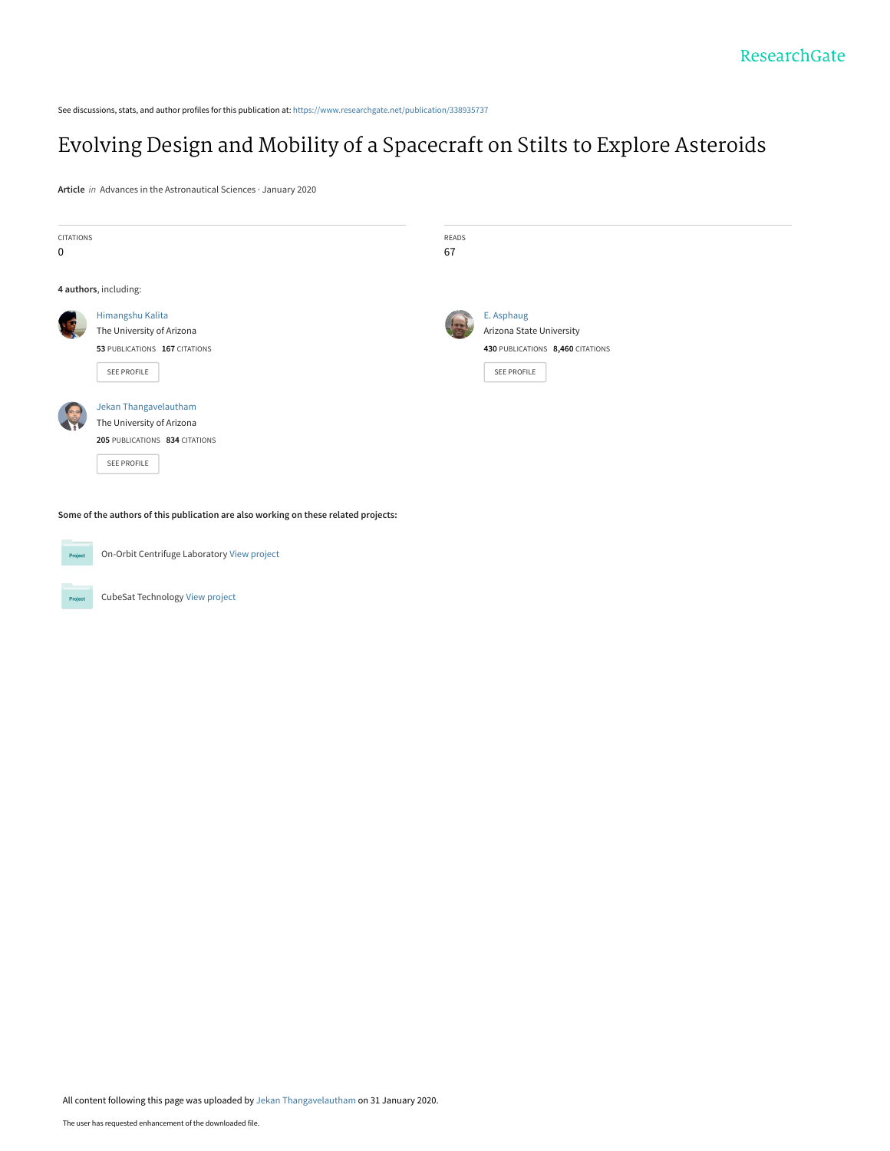See discussions, stats, and author profiles for this publication at: [https://www.researchgate.net/publication/338935737](https://www.researchgate.net/publication/338935737_Evolving_Design_and_Mobility_of_a_Spacecraft_on_Stilts_to_Explore_Asteroids?enrichId=rgreq-5f4564b7a20603f898533cc00548251e-XXX&enrichSource=Y292ZXJQYWdlOzMzODkzNTczNztBUzo4NTMyNzgzNDY3MTEwNDNAMTU4MDQ0ODgxOTY3Ng%3D%3D&el=1_x_2&_esc=publicationCoverPdf)

# [Evolving Design and Mobility of a Spacecraft on Stilts to Explore Asteroids](https://www.researchgate.net/publication/338935737_Evolving_Design_and_Mobility_of_a_Spacecraft_on_Stilts_to_Explore_Asteroids?enrichId=rgreq-5f4564b7a20603f898533cc00548251e-XXX&enrichSource=Y292ZXJQYWdlOzMzODkzNTczNztBUzo4NTMyNzgzNDY3MTEwNDNAMTU4MDQ0ODgxOTY3Ng%3D%3D&el=1_x_3&_esc=publicationCoverPdf)

**Article** in Advances in the Astronautical Sciences · January 2020

| CITATIONS  |                                | READS |                                  |  |  |  |
|------------|--------------------------------|-------|----------------------------------|--|--|--|
| 0          |                                | 67    |                                  |  |  |  |
|            |                                |       |                                  |  |  |  |
|            | 4 authors, including:          |       |                                  |  |  |  |
|            | Himangshu Kalita               |       | E. Asphaug                       |  |  |  |
|            | The University of Arizona      |       | Arizona State University         |  |  |  |
|            | 53 PUBLICATIONS 167 CITATIONS  |       | 430 PUBLICATIONS 8,460 CITATIONS |  |  |  |
|            | SEE PROFILE                    |       | SEE PROFILE                      |  |  |  |
| $\sqrt{2}$ | Jekan Thangavelautham          |       |                                  |  |  |  |
|            | The University of Arizona      |       |                                  |  |  |  |
|            | 205 PUBLICATIONS 834 CITATIONS |       |                                  |  |  |  |
|            | SEE PROFILE                    |       |                                  |  |  |  |
|            |                                |       |                                  |  |  |  |
|            |                                |       |                                  |  |  |  |

**Some of the authors of this publication are also working on these related projects:**



Project

On-Orbit Centrifuge Laboratory [View project](https://www.researchgate.net/project/On-Orbit-Centrifuge-Laboratory?enrichId=rgreq-5f4564b7a20603f898533cc00548251e-XXX&enrichSource=Y292ZXJQYWdlOzMzODkzNTczNztBUzo4NTMyNzgzNDY3MTEwNDNAMTU4MDQ0ODgxOTY3Ng%3D%3D&el=1_x_9&_esc=publicationCoverPdf) CubeSat Technology [View project](https://www.researchgate.net/project/CubeSat-Technology?enrichId=rgreq-5f4564b7a20603f898533cc00548251e-XXX&enrichSource=Y292ZXJQYWdlOzMzODkzNTczNztBUzo4NTMyNzgzNDY3MTEwNDNAMTU4MDQ0ODgxOTY3Ng%3D%3D&el=1_x_9&_esc=publicationCoverPdf)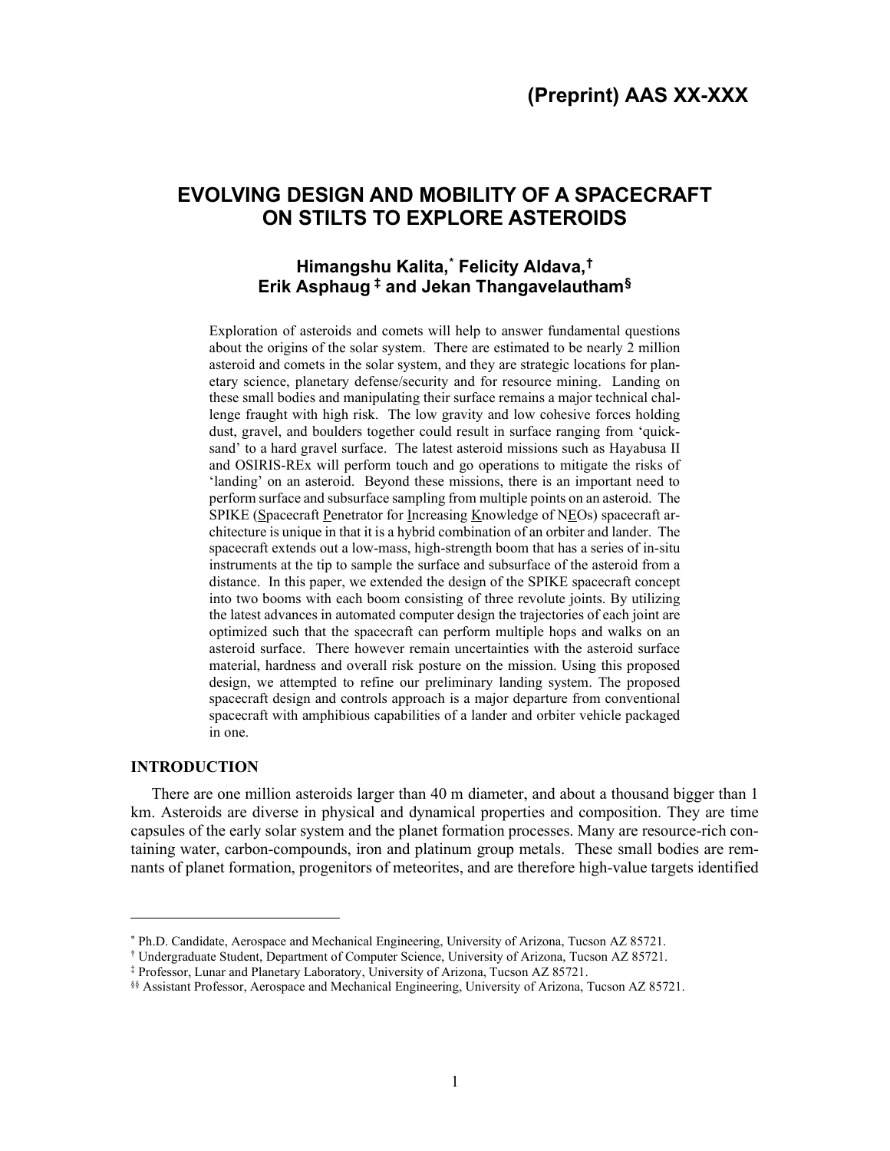# **EVOLVING DESIGN AND MOBILITY OF A SPACECRAFT ON STILTS TO EXPLORE ASTEROIDS**

## **Himangshu Kalita, [\\*](#page-1-0) Felicity Aldava, [†](#page-1-1) Erik Asphaug [‡](#page-1-2) and Jekan Thangavelautham[§](#page-1-3)**

Exploration of asteroids and comets will help to answer fundamental questions about the origins of the solar system. There are estimated to be nearly 2 million asteroid and comets in the solar system, and they are strategic locations for planetary science, planetary defense/security and for resource mining. Landing on these small bodies and manipulating their surface remains a major technical challenge fraught with high risk. The low gravity and low cohesive forces holding dust, gravel, and boulders together could result in surface ranging from 'quicksand' to a hard gravel surface. The latest asteroid missions such as Hayabusa II and OSIRIS-REx will perform touch and go operations to mitigate the risks of 'landing' on an asteroid. Beyond these missions, there is an important need to perform surface and subsurface sampling from multiple points on an asteroid. The SPIKE (Spacecraft Penetrator for Increasing Knowledge of NEOs) spacecraft architecture is unique in that it is a hybrid combination of an orbiter and lander. The spacecraft extends out a low-mass, high-strength boom that has a series of in-situ instruments at the tip to sample the surface and subsurface of the asteroid from a distance. In this paper, we extended the design of the SPIKE spacecraft concept into two booms with each boom consisting of three revolute joints. By utilizing the latest advances in automated computer design the trajectories of each joint are optimized such that the spacecraft can perform multiple hops and walks on an asteroid surface. There however remain uncertainties with the asteroid surface material, hardness and overall risk posture on the mission. Using this proposed design, we attempted to refine our preliminary landing system. The proposed spacecraft design and controls approach is a major departure from conventional spacecraft with amphibious capabilities of a lander and orbiter vehicle packaged in one.

#### **INTRODUCTION**

There are one million asteroids larger than 40 m diameter, and about a thousand bigger than 1 km. Asteroids are diverse in physical and dynamical properties and composition. They are time capsules of the early solar system and the planet formation processes. Many are resource-rich containing water, carbon-compounds, iron and platinum group metals. These small bodies are remnants of planet formation, progenitors of meteorites, and are therefore high-value targets identified

<span id="page-1-0"></span><sup>\*</sup> Ph.D. Candidate, Aerospace and Mechanical Engineering, University of Arizona, Tucson AZ 85721.

<span id="page-1-2"></span><span id="page-1-1"></span><sup>†</sup> Undergraduate Student, Department of Computer Science, University of Arizona, Tucson AZ 85721.

<sup>‡</sup> Professor, Lunar and Planetary Laboratory, University of Arizona, Tucson AZ 85721.

<span id="page-1-3"></span><sup>§§</sup> Assistant Professor, Aerospace and Mechanical Engineering, University of Arizona, Tucson AZ 85721.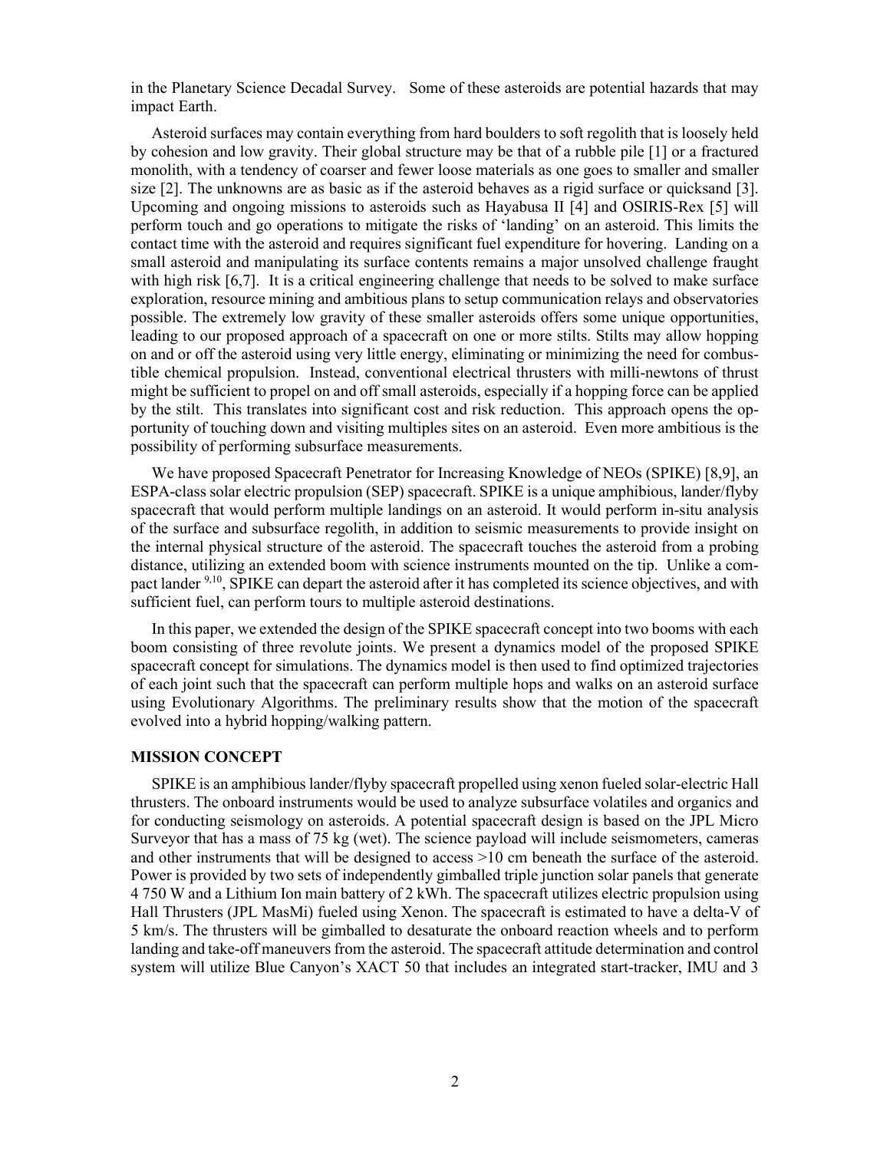in the Planetary Science Decadal Survey. Some of these asteroids are potential hazards that may impact Earth.

Asteroid surfaces may contain everything from hard boulders to soft regolith that is loosely held by cohesion and low gravity. Their global structure may be that of a rubble pile [1] or a fractured monolith, with a tendency of coarser and fewer loose materials as one goes to smaller and smaller size [2]. The unknowns are as basic as if the asteroid behaves as a rigid surface or quicksand [3]. Upcoming and ongoing missions to asteroids such as Hayabusa II [4] and OSIRIS-Rex [5] will perform touch and go operations to mitigate the risks of 'landing' on an asteroid. This limits the contact time with the asteroid and requires significant fuel expenditure for hovering. Landing on a small asteroid and manipulating its surface contents remains a major unsolved challenge fraught with high risk [6,7]. It is a critical engineering challenge that needs to be solved to make surface exploration, resource mining and ambitious plans to setup communication relays and observatories possible. The extremely low gravity of these smaller asteroids offers some unique opportunities, leading to our proposed approach of a spacecraft on one or more stilts. Stilts may allow hopping on and or off the asteroid using very little energy, eliminating or minimizing the need for combustible chemical propulsion. Instead, conventional electrical thrusters with milli-newtons of thrust might be sufficient to propel on and off small asteroids, especially if a hopping force can be applied by the stilt. This translates into significant cost and risk reduction. This approach opens the opportunity of touching down and visiting multiples sites on an asteroid. Even more ambitious is the possibility of performing subsurface measurements.

We have proposed Spacecraft Penetrator for Increasing Knowledge of NEOs (SPIKE) [8,9], an ESPA-class solar electric propulsion (SEP) spacecraft. SPIKE is a unique amphibious, lander/flyby spacecraft that would perform multiple landings on an asteroid. It would perform in-situ analysis of the surface and subsurface regolith, in addition to seismic measurements to provide insight on the internal physical structure of the asteroid. The spacecraft touches the asteroid from a probing distance, utilizing an extended boom with science instruments mounted on the tip. Unlike a compact lander <sup>9,10</sup>, SPIKE can depart the asteroid after it has completed its science objectives, and with sufficient fuel, can perform tours to multiple asteroid destinations.

In this paper, we extended the design of the SPIKE spacecraft concept into two booms with each boom consisting of three revolute joints. We present a dynamics model of the proposed SPIKE spacecraft concept for simulations. The dynamics model is then used to find optimized trajectories of each joint such that the spacecraft can perform multiple hops and walks on an asteroid surface using Evolutionary Algorithms. The preliminary results show that the motion of the spacecraft evolved into a hybrid hopping/walking pattern.

#### **MISSION CONCEPT**

SPIKE is an amphibious lander/flyby spacecraft propelled using xenon fueled solar-electric Hall thrusters. The onboard instruments would be used to analyze subsurface volatiles and organics and for conducting seismology on asteroids. A potential spacecraft design is based on the JPL Micro Surveyor that has a mass of 75 kg (wet). The science payload will include seismometers, cameras and other instruments that will be designed to access >10 cm beneath the surface of the asteroid. Power is provided by two sets of independently gimballed triple junction solar panels that generate 4 750 W and a Lithium Ion main battery of 2 kWh. The spacecraft utilizes electric propulsion using Hall Thrusters (JPL MasMi) fueled using Xenon. The spacecraft is estimated to have a delta-V of 5 km/s. The thrusters will be gimballed to desaturate the onboard reaction wheels and to perform landing and take-off maneuvers from the asteroid. The spacecraft attitude determination and control system will utilize Blue Canyon's XACT 50 that includes an integrated start-tracker, IMU and 3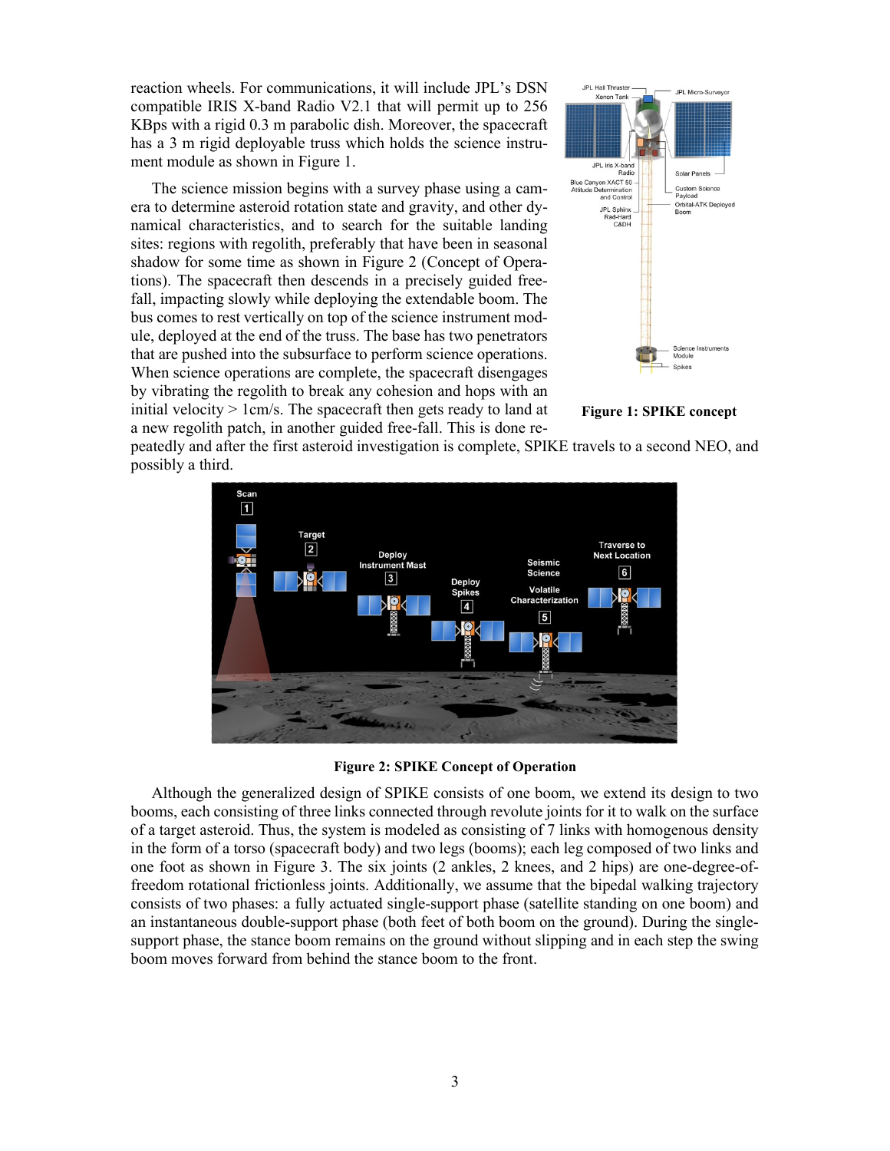reaction wheels. For communications, it will include JPL's DSN compatible IRIS X-band Radio V2.1 that will permit up to 256 KBps with a rigid 0.3 m parabolic dish. Moreover, the spacecraft has a 3 m rigid deployable truss which holds the science instrument module as shown in Figure 1.

The science mission begins with a survey phase using a camera to determine asteroid rotation state and gravity, and other dynamical characteristics, and to search for the suitable landing sites: regions with regolith, preferably that have been in seasonal shadow for some time as shown in Figure 2 (Concept of Operations). The spacecraft then descends in a precisely guided freefall, impacting slowly while deploying the extendable boom. The bus comes to rest vertically on top of the science instrument module, deployed at the end of the truss. The base has two penetrators that are pushed into the subsurface to perform science operations. When science operations are complete, the spacecraft disengages by vibrating the regolith to break any cohesion and hops with an initial velocity  $> 1$  cm/s. The spacecraft then gets ready to land at a new regolith patch, in another guided free-fall. This is done re-



**Figure 1: SPIKE concept**

peatedly and after the first asteroid investigation is complete, SPIKE travels to a second NEO, and possibly a third.



**Figure 2: SPIKE Concept of Operation**

Although the generalized design of SPIKE consists of one boom, we extend its design to two booms, each consisting of three links connected through revolute joints for it to walk on the surface of a target asteroid. Thus, the system is modeled as consisting of 7 links with homogenous density in the form of a torso (spacecraft body) and two legs (booms); each leg composed of two links and one foot as shown in Figure 3. The six joints (2 ankles, 2 knees, and 2 hips) are one-degree-offreedom rotational frictionless joints. Additionally, we assume that the bipedal walking trajectory consists of two phases: a fully actuated single-support phase (satellite standing on one boom) and an instantaneous double-support phase (both feet of both boom on the ground). During the singlesupport phase, the stance boom remains on the ground without slipping and in each step the swing boom moves forward from behind the stance boom to the front.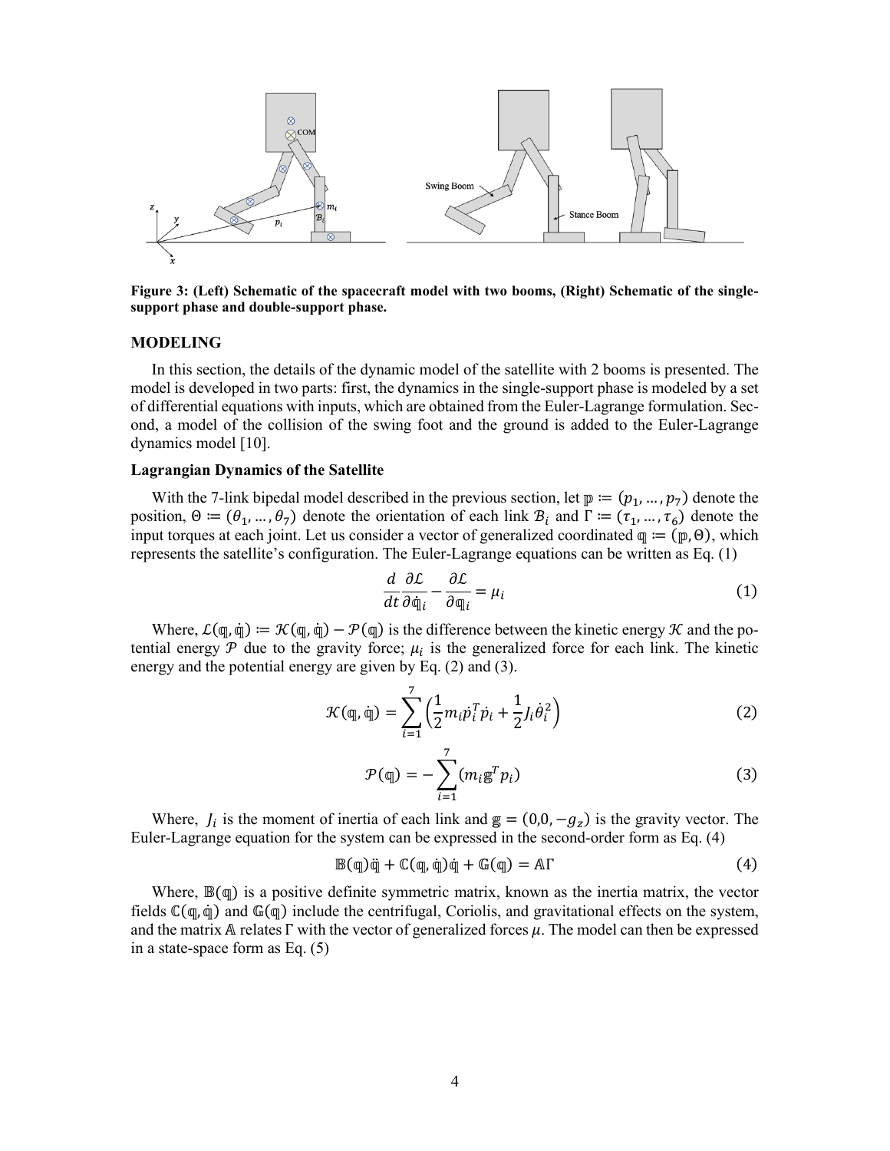

**Figure 3: (Left) Schematic of the spacecraft model with two booms, (Right) Schematic of the singlesupport phase and double-support phase.**

#### **MODELING**

In this section, the details of the dynamic model of the satellite with 2 booms is presented. The model is developed in two parts: first, the dynamics in the single-support phase is modeled by a set of differential equations with inputs, which are obtained from the Euler-Lagrange formulation. Second, a model of the collision of the swing foot and the ground is added to the Euler-Lagrange dynamics model [10].

#### **Lagrangian Dynamics of the Satellite**

With the 7-link bipedal model described in the previous section, let  $\mathbb{p} := (p_1, ..., p_7)$  denote the position,  $\Theta = (\theta_1, ..., \theta_7)$  denote the orientation of each link  $\mathcal{B}_i$  and  $\Gamma = (\tau_1, ..., \tau_6)$  denote the input torques at each joint. Let us consider a vector of generalized coordinated  $\varphi := (\varphi, \Theta)$ , which represents the satellite's configuration. The Euler-Lagrange equations can be written as Eq. (1)

$$
\frac{d}{dt}\frac{\partial \mathcal{L}}{\partial \dot{\mathfrak{q}}_i} - \frac{\partial \mathcal{L}}{\partial \mathfrak{q}_i} = \mu_i
$$
 (1)

Where,  $\mathcal{L}(\mathfrak{q}, \dot{\mathfrak{q}}) := \mathcal{K}(\mathfrak{q}, \dot{\mathfrak{q}}) - \mathcal{P}(\mathfrak{q})$  is the difference between the kinetic energy  $\mathcal K$  and the potential energy  $\mathcal P$  due to the gravity force;  $\mu_i$  is the generalized force for each link. The kinetic energy and the potential energy are given by Eq. (2) and (3).

$$
\mathcal{K}(\mathbf{q}, \dot{\mathbf{q}}) = \sum_{i=1}^{7} \left( \frac{1}{2} m_i \dot{p}_i^T \dot{p}_i + \frac{1}{2} J_i \dot{\theta}_i^2 \right)
$$
(2)

$$
\mathcal{P}(\mathbf{q}) = -\sum_{i=1}^{7} (m_i \mathbf{g}^T p_i)
$$
\n(3)

Where,  $J_i$  is the moment of inertia of each link and  $g = (0,0, -g_z)$  is the gravity vector. The Euler-Lagrange equation for the system can be expressed in the second-order form as Eq. (4)

$$
\mathbb{B}(\mathbb{q})\ddot{\mathbb{q}} + \mathbb{C}(\mathbb{q}, \dot{\mathbb{q}})\dot{\mathbb{q}} + \mathbb{G}(\mathbb{q}) = \mathbb{A}\Gamma \tag{4}
$$

Where,  $\mathbb{B}(q)$  is a positive definite symmetric matrix, known as the inertia matrix, the vector fields  $\mathbb{C}(\mathbb{q}, \dot{\mathbb{q}})$  and  $\mathbb{G}(\mathbb{q})$  include the centrifugal, Coriolis, and gravitational effects on the system, and the matrix A relates  $\Gamma$  with the vector of generalized forces  $\mu$ . The model can then be expressed in a state-space form as Eq. (5)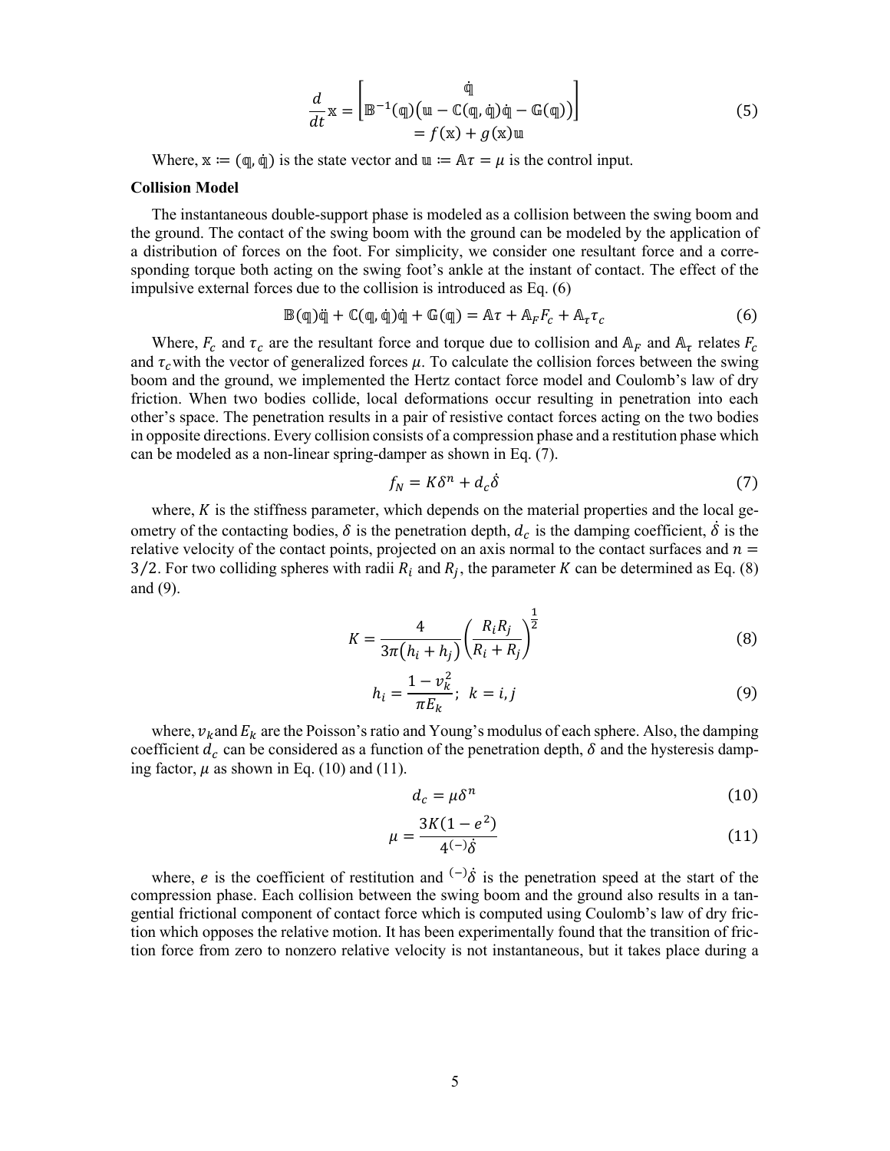$$
\frac{d}{dt}\mathbf{x} = \begin{bmatrix} \n\mathbf{\dot{q}} \\ \n\mathbf{B}^{-1}(\mathbf{q}) (\mathbf{u} - \mathbb{C}(\mathbf{q}, \dot{\mathbf{q}}) \dot{\mathbf{q}} - \mathbb{G}(\mathbf{q})) \n\end{bmatrix}
$$
\n
$$
= f(\mathbf{x}) + g(\mathbf{x})\mathbf{u}
$$
\n(5)

Where,  $\mathbf{x} := (\mathbf{q}, \dot{\mathbf{q}})$  is the state vector and  $\mathbf{u} := \mathbf{A}\tau = \mu$  is the control input.

#### **Collision Model**

The instantaneous double-support phase is modeled as a collision between the swing boom and the ground. The contact of the swing boom with the ground can be modeled by the application of a distribution of forces on the foot. For simplicity, we consider one resultant force and a corresponding torque both acting on the swing foot's ankle at the instant of contact. The effect of the impulsive external forces due to the collision is introduced as Eq. (6)

$$
\mathbb{B}(\mathbb{q})\ddot{\mathbb{q}} + \mathbb{C}(\mathbb{q},\dot{\mathbb{q}})\dot{\mathbb{q}} + \mathbb{G}(\mathbb{q}) = A\tau + A_{F}F_{C} + A_{\tau}\tau_{C}
$$
\n(6)

Where,  $F_c$  and  $\tau_c$  are the resultant force and torque due to collision and  $A_F$  and  $A_{\tau}$  relates  $F_c$ and  $\tau_c$  with the vector of generalized forces  $\mu$ . To calculate the collision forces between the swing boom and the ground, we implemented the Hertz contact force model and Coulomb's law of dry friction. When two bodies collide, local deformations occur resulting in penetration into each other's space. The penetration results in a pair of resistive contact forces acting on the two bodies in opposite directions. Every collision consists of a compression phase and a restitution phase which can be modeled as a non-linear spring-damper as shown in Eq. (7).

$$
f_N = K\delta^n + d_c\delta \tag{7}
$$

where,  $K$  is the stiffness parameter, which depends on the material properties and the local geometry of the contacting bodies,  $\delta$  is the penetration depth,  $d_c$  is the damping coefficient,  $\delta$  is the relative velocity of the contact points, projected on an axis normal to the contact surfaces and  $n =$ 3/2. For two colliding spheres with radii  $R_i$  and  $R_j$ , the parameter K can be determined as Eq. (8) and (9).

$$
K = \frac{4}{3\pi (h_i + h_j)} \left(\frac{R_i R_j}{R_i + R_j}\right)^{\frac{1}{2}}
$$
(8)

$$
h_i = \frac{1 - v_k^2}{\pi E_k}; \ \ k = i, j \tag{9}
$$

where,  $v_k$  and  $E_k$  are the Poisson's ratio and Young's modulus of each sphere. Also, the damping coefficient  $d_c$  can be considered as a function of the penetration depth,  $\delta$  and the hysteresis damping factor,  $\mu$  as shown in Eq. (10) and (11).

$$
d_c = \mu \delta^n \tag{10}
$$

$$
\mu = \frac{3K(1 - e^2)}{4^{(-)}\dot{\delta}}\tag{11}
$$

where, *e* is the coefficient of restitution and  $\binom{-}{0}$  is the penetration speed at the start of the compression phase. Each collision between the swing boom and the ground also results in a tangential frictional component of contact force which is computed using Coulomb's law of dry friction which opposes the relative motion. It has been experimentally found that the transition of friction force from zero to nonzero relative velocity is not instantaneous, but it takes place during a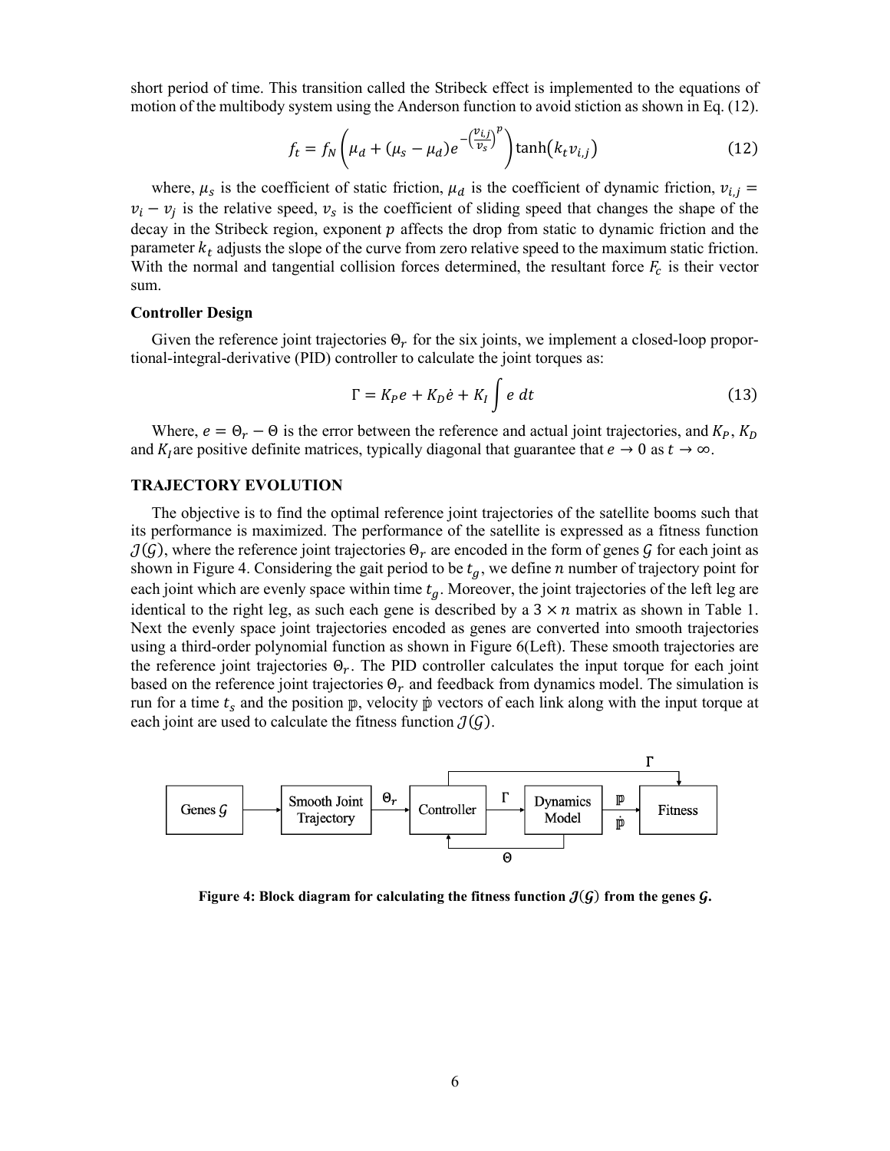short period of time. This transition called the Stribeck effect is implemented to the equations of motion of the multibody system using the Anderson function to avoid stiction as shown in Eq. (12).

$$
f_t = f_N \left(\mu_d + (\mu_s - \mu_d)e^{-\left(\frac{\nu_{i,j}}{\nu_s}\right)^p}\right) \tanh\left(k_t \nu_{i,j}\right) \tag{12}
$$

where,  $\mu_s$  is the coefficient of static friction,  $\mu_d$  is the coefficient of dynamic friction,  $v_{i,j}$  =  $v_i - v_i$  is the relative speed,  $v_s$  is the coefficient of sliding speed that changes the shape of the decay in the Stribeck region, exponent  $p$  affects the drop from static to dynamic friction and the parameter  $k_t$  adjusts the slope of the curve from zero relative speed to the maximum static friction. With the normal and tangential collision forces determined, the resultant force  $F_c$  is their vector sum.

#### **Controller Design**

Given the reference joint trajectories  $\Theta_r$  for the six joints, we implement a closed-loop proportional-integral-derivative (PID) controller to calculate the joint torques as:

$$
\Gamma = K_P e + K_D \dot{e} + K_I \int e \, dt \tag{13}
$$

Where,  $e = \Theta_r - \Theta$  is the error between the reference and actual joint trajectories, and  $K_p$ ,  $K_p$ and  $K_l$  are positive definite matrices, typically diagonal that guarantee that  $e \to 0$  as  $t \to \infty$ .

#### **TRAJECTORY EVOLUTION**

The objective is to find the optimal reference joint trajectories of the satellite booms such that its performance is maximized. The performance of the satellite is expressed as a fitness function  $J(\mathcal{G})$ , where the reference joint trajectories  $\Theta_r$  are encoded in the form of genes  $\mathcal{G}$  for each joint as shown in Figure 4. Considering the gait period to be  $t_q$ , we define  $n$  number of trajectory point for each joint which are evenly space within time  $t<sub>q</sub>$ . Moreover, the joint trajectories of the left leg are identical to the right leg, as such each gene is described by a  $3 \times n$  matrix as shown in Table 1. Next the evenly space joint trajectories encoded as genes are converted into smooth trajectories using a third-order polynomial function as shown in Figure 6(Left). These smooth trajectories are the reference joint trajectories  $\Theta_r$ . The PID controller calculates the input torque for each joint based on the reference joint trajectories  $\Theta_r$  and feedback from dynamics model. The simulation is run for a time  $t_s$  and the position  $\mathbb{p}$ , velocity  $\mathbb{p}$  vectors of each link along with the input torque at each joint are used to calculate the fitness function  $\mathcal{J}(G)$ .



**Figure 4:** Block diagram for calculating the fitness function  $J(G)$  from the genes G.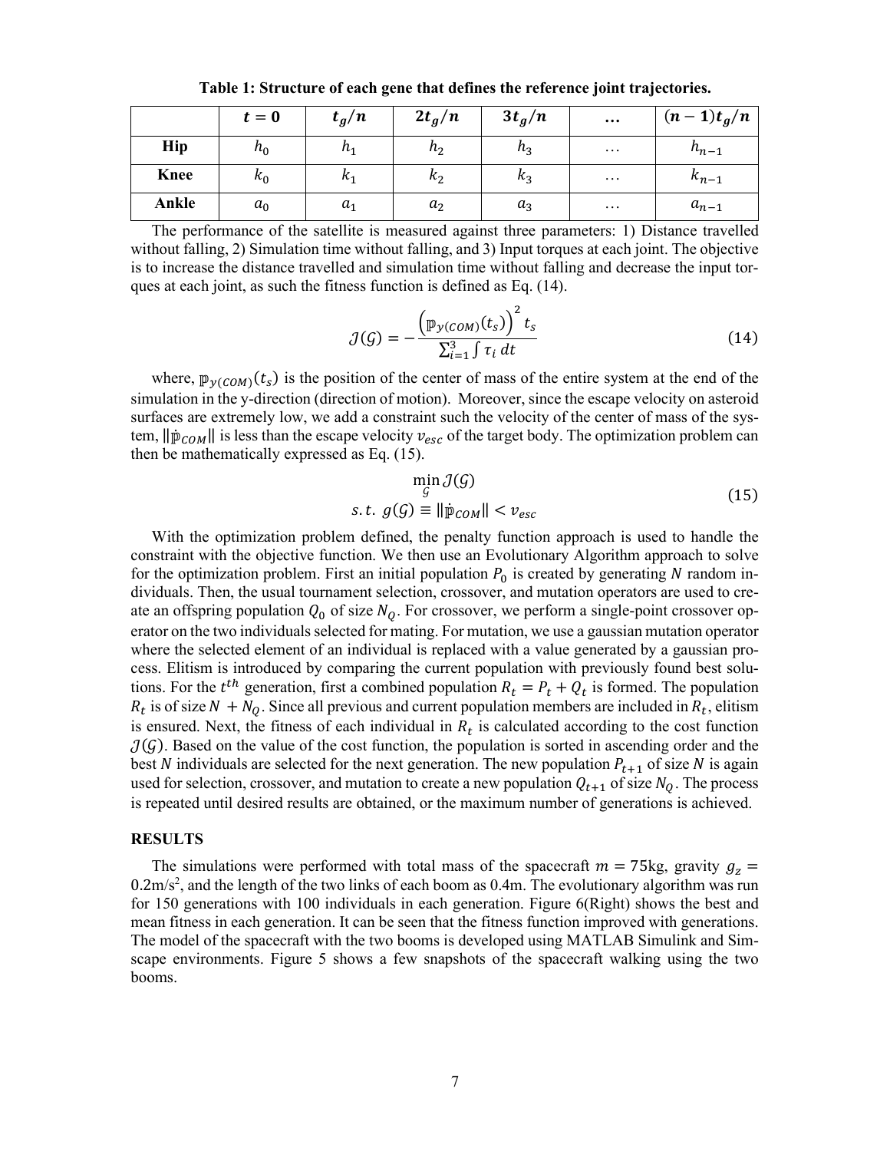|             | $t=0$ | $t_g/n$    | $2t_g/n$   | $3t_g/n$ | $\cdots$ | $(n-1)t_g/n$ |
|-------------|-------|------------|------------|----------|----------|--------------|
| Hip         | $n_0$ | $n_1$      | $n_{2}$    | $n_3$    | $\cdots$ | $h_{n-1}$    |
| <b>Knee</b> | $k_0$ | $\kappa_1$ | $\kappa_2$ | $k_3$    | $\cdots$ | $k_{n-1}$    |
| Ankle       | $a_0$ | $a_1$      | $a_2$      | $a_3$    | $\cdots$ | $a_{n-1}$    |

**Table 1: Structure of each gene that defines the reference joint trajectories.**

The performance of the satellite is measured against three parameters: 1) Distance travelled without falling, 2) Simulation time without falling, and 3) Input torques at each joint. The objective is to increase the distance travelled and simulation time without falling and decrease the input torques at each joint, as such the fitness function is defined as Eq. (14).

$$
\mathcal{J}(\mathcal{G}) = -\frac{\left(\mathbb{P}_{\mathcal{Y}(COM)}(t_s)\right)^2 t_s}{\sum_{i=1}^3 \int \tau_i dt}
$$
\n(14)

where,  $\mathbb{p}_{y(COM)}(t_s)$  is the position of the center of mass of the entire system at the end of the simulation in the y-direction (direction of motion). Moreover, since the escape velocity on asteroid surfaces are extremely low, we add a constraint such the velocity of the center of mass of the system,  $\|\mathbf{p}_{COM}\|$  is less than the escape velocity  $v_{esc}$  of the target body. The optimization problem can then be mathematically expressed as Eq. (15).

$$
\min_{\mathcal{G}} \mathcal{J}(\mathcal{G})
$$
  
s.t.  $g(\mathcal{G}) \equiv ||\mathbf{p}_{COM}|| < v_{esc}$  (15)

With the optimization problem defined, the penalty function approach is used to handle the constraint with the objective function. We then use an Evolutionary Algorithm approach to solve for the optimization problem. First an initial population  $P_0$  is created by generating N random individuals. Then, the usual tournament selection, crossover, and mutation operators are used to create an offspring population  $Q_0$  of size  $N_Q$ . For crossover, we perform a single-point crossover operator on the two individuals selected for mating. For mutation, we use a gaussian mutation operator where the selected element of an individual is replaced with a value generated by a gaussian process. Elitism is introduced by comparing the current population with previously found best solutions. For the  $t^{th}$  generation, first a combined population  $R_t = P_t + Q_t$  is formed. The population  $R_t$  is of size  $N + N_Q$ . Since all previous and current population members are included in  $R_t$ , elitism is ensured. Next, the fitness of each individual in  $R_t$  is calculated according to the cost function  $J(G)$ . Based on the value of the cost function, the population is sorted in ascending order and the best N individuals are selected for the next generation. The new population  $P_{t+1}$  of size N is again used for selection, crossover, and mutation to create a new population  $Q_{t+1}$  of size  $N_0$ . The process is repeated until desired results are obtained, or the maximum number of generations is achieved.

#### **RESULTS**

The simulations were performed with total mass of the spacecraft  $m = 75$ kg, gravity  $g_z =$  $0.2 \text{m/s}^2$ , and the length of the two links of each boom as  $0.4 \text{m}$ . The evolutionary algorithm was run for 150 generations with 100 individuals in each generation. Figure 6(Right) shows the best and mean fitness in each generation. It can be seen that the fitness function improved with generations. The model of the spacecraft with the two booms is developed using MATLAB Simulink and Simscape environments. Figure 5 shows a few snapshots of the spacecraft walking using the two booms.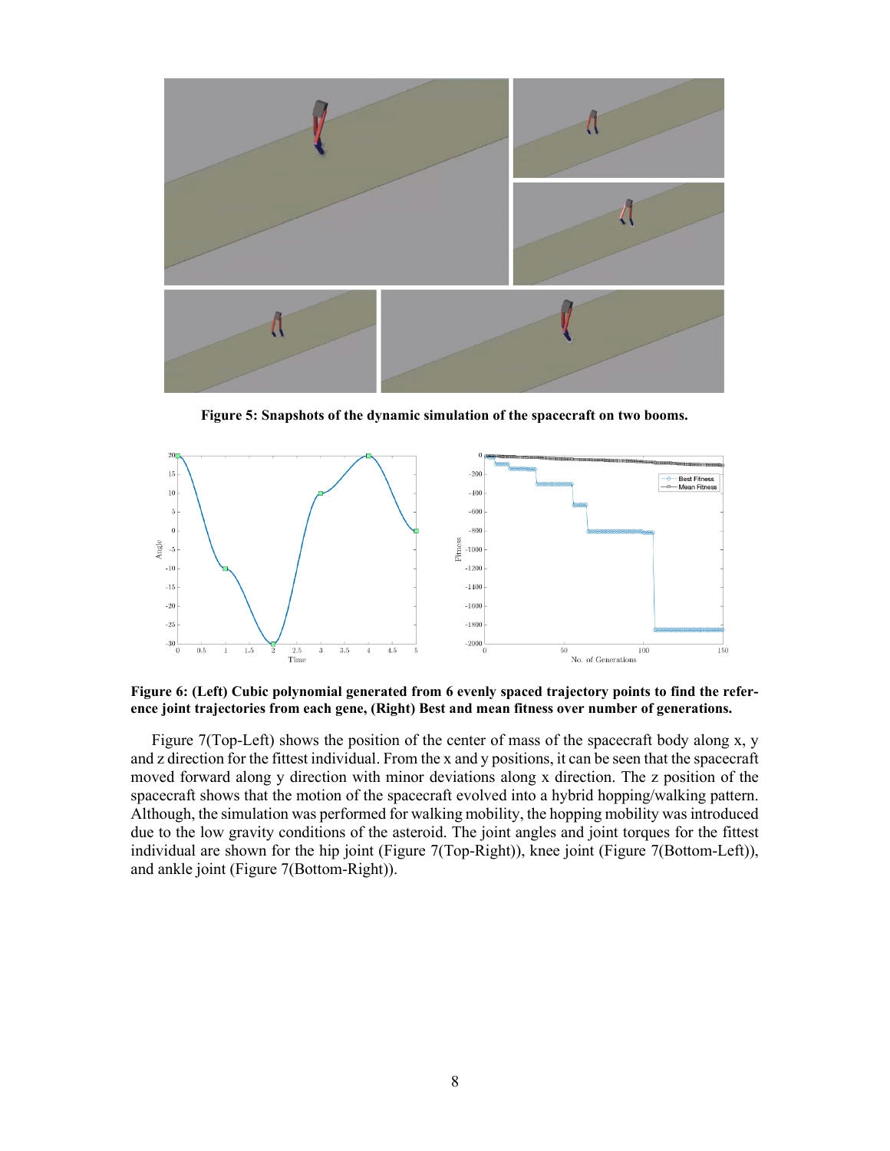

**Figure 5: Snapshots of the dynamic simulation of the spacecraft on two booms.**



**Figure 6: (Left) Cubic polynomial generated from 6 evenly spaced trajectory points to find the reference joint trajectories from each gene, (Right) Best and mean fitness over number of generations.**

Figure 7(Top-Left) shows the position of the center of mass of the spacecraft body along x, y and z direction for the fittest individual. From the x and y positions, it can be seen that the spacecraft moved forward along y direction with minor deviations along x direction. The z position of the spacecraft shows that the motion of the spacecraft evolved into a hybrid hopping/walking pattern. Although, the simulation was performed for walking mobility, the hopping mobility was introduced due to the low gravity conditions of the asteroid. The joint angles and joint torques for the fittest individual are shown for the hip joint (Figure 7(Top-Right)), knee joint (Figure 7(Bottom-Left)), and ankle joint (Figure 7(Bottom-Right)).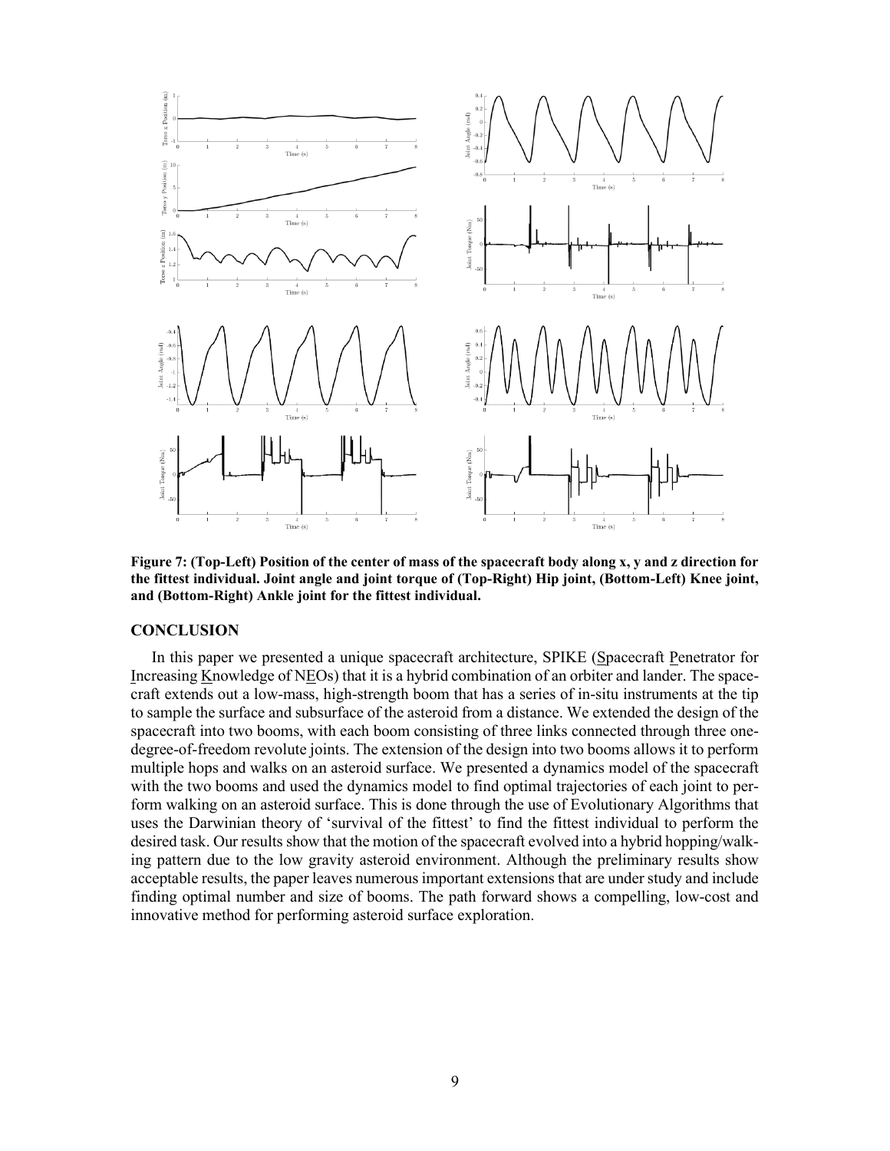

**Figure 7: (Top-Left) Position of the center of mass of the spacecraft body along x, y and z direction for the fittest individual. Joint angle and joint torque of (Top-Right) Hip joint, (Bottom-Left) Knee joint, and (Bottom-Right) Ankle joint for the fittest individual.**

### **CONCLUSION**

In this paper we presented a unique spacecraft architecture, SPIKE (Spacecraft Penetrator for Increasing Knowledge of NEOs) that it is a hybrid combination of an orbiter and lander. The spacecraft extends out a low-mass, high-strength boom that has a series of in-situ instruments at the tip to sample the surface and subsurface of the asteroid from a distance. We extended the design of the spacecraft into two booms, with each boom consisting of three links connected through three onedegree-of-freedom revolute joints. The extension of the design into two booms allows it to perform multiple hops and walks on an asteroid surface. We presented a dynamics model of the spacecraft with the two booms and used the dynamics model to find optimal trajectories of each joint to perform walking on an asteroid surface. This is done through the use of Evolutionary Algorithms that uses the Darwinian theory of 'survival of the fittest' to find the fittest individual to perform the desired task. Our results show that the motion of the spacecraft evolved into a hybrid hopping/walking pattern due to the low gravity asteroid environment. Although the preliminary results show acceptable results, the paper leaves numerous important extensions that are under study and include finding optimal number and size of booms. The path forward shows a compelling, low-cost and innovative method for performing asteroid surface exploration.